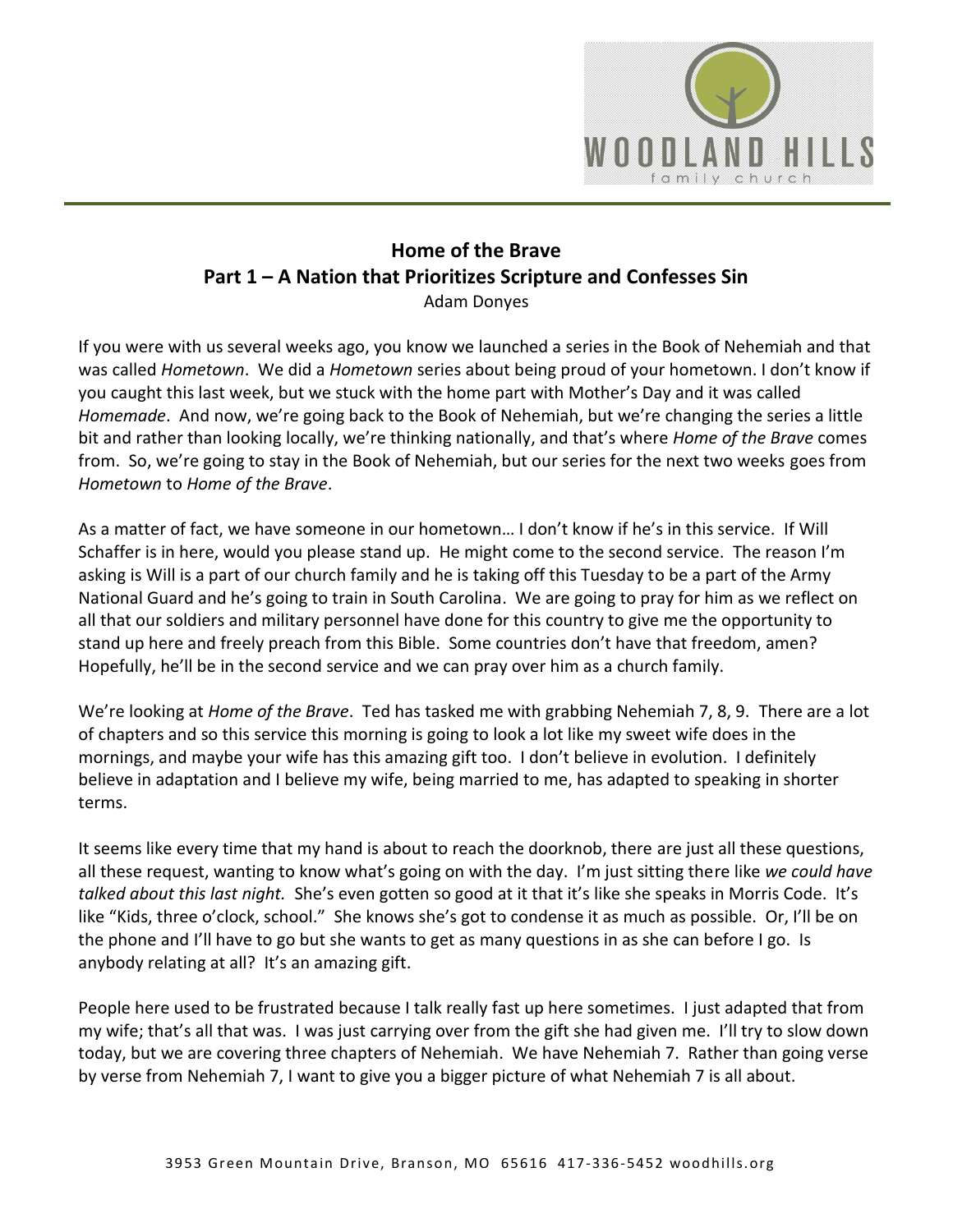

## **Home of the Brave Part 1 – A Nation that Prioritizes Scripture and Confesses Sin**

Adam Donyes

If you were with us several weeks ago, you know we launched a series in the Book of Nehemiah and that was called *Hometown*. We did a *Hometown* series about being proud of your hometown. I don't know if you caught this last week, but we stuck with the home part with Mother's Day and it was called *Homemade*. And now, we're going back to the Book of Nehemiah, but we're changing the series a little bit and rather than looking locally, we're thinking nationally, and that's where *Home of the Brave* comes from. So, we're going to stay in the Book of Nehemiah, but our series for the next two weeks goes from *Hometown* to *Home of the Brave*.

As a matter of fact, we have someone in our hometown… I don't know if he's in this service. If Will Schaffer is in here, would you please stand up. He might come to the second service. The reason I'm asking is Will is a part of our church family and he is taking off this Tuesday to be a part of the Army National Guard and he's going to train in South Carolina. We are going to pray for him as we reflect on all that our soldiers and military personnel have done for this country to give me the opportunity to stand up here and freely preach from this Bible. Some countries don't have that freedom, amen? Hopefully, he'll be in the second service and we can pray over him as a church family.

We're looking at *Home of the Brave*. Ted has tasked me with grabbing Nehemiah 7, 8, 9. There are a lot of chapters and so this service this morning is going to look a lot like my sweet wife does in the mornings, and maybe your wife has this amazing gift too. I don't believe in evolution. I definitely believe in adaptation and I believe my wife, being married to me, has adapted to speaking in shorter terms.

It seems like every time that my hand is about to reach the doorknob, there are just all these questions, all these request, wanting to know what's going on with the day. I'm just sitting there like *we could have talked about this last night.* She's even gotten so good at it that it's like she speaks in Morris Code. It's like "Kids, three o'clock, school." She knows she's got to condense it as much as possible. Or, I'll be on the phone and I'll have to go but she wants to get as many questions in as she can before I go. Is anybody relating at all? It's an amazing gift.

People here used to be frustrated because I talk really fast up here sometimes. I just adapted that from my wife; that's all that was. I was just carrying over from the gift she had given me. I'll try to slow down today, but we are covering three chapters of Nehemiah. We have Nehemiah 7. Rather than going verse by verse from Nehemiah 7, I want to give you a bigger picture of what Nehemiah 7 is all about.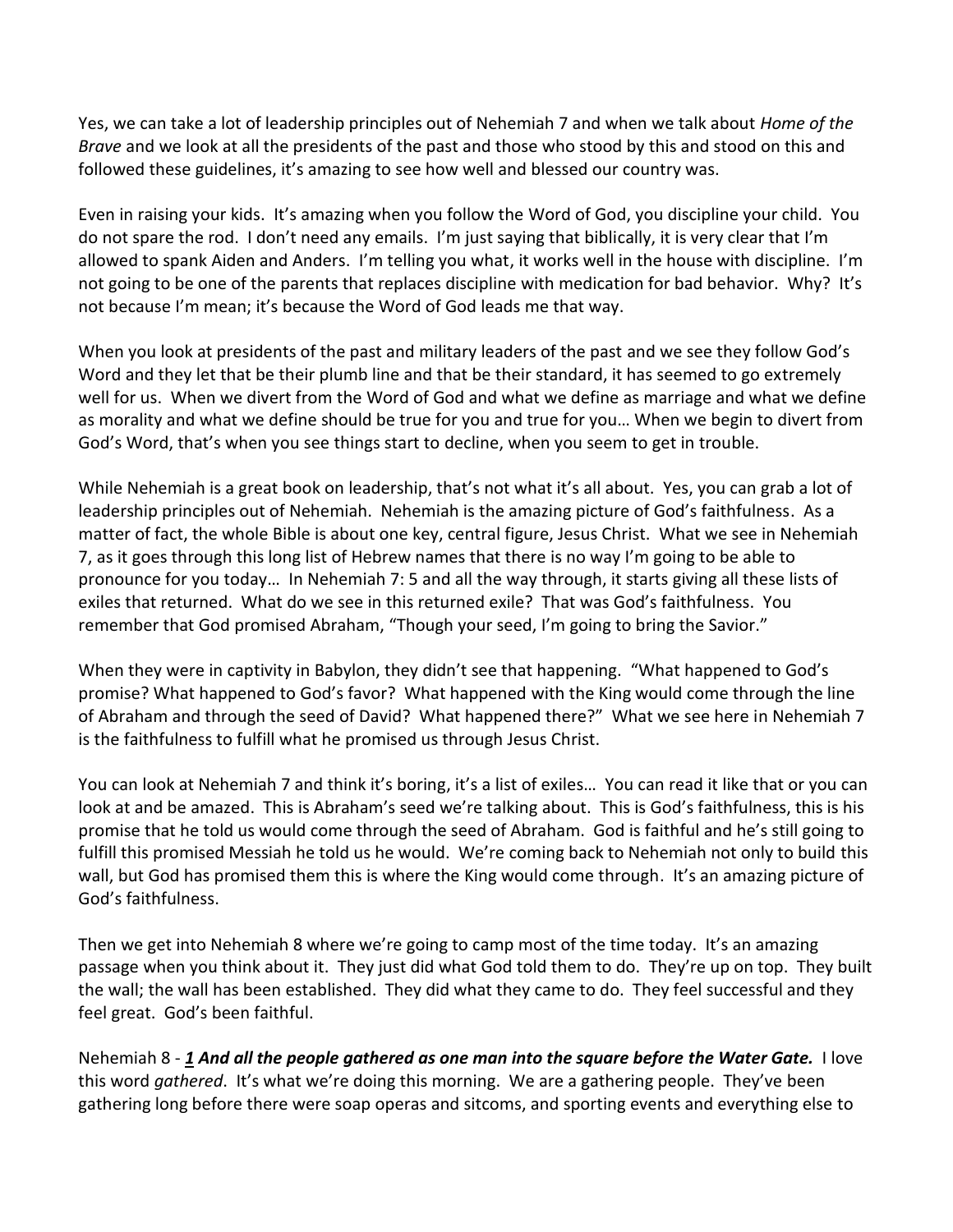Yes, we can take a lot of leadership principles out of Nehemiah 7 and when we talk about *Home of the Brave* and we look at all the presidents of the past and those who stood by this and stood on this and followed these guidelines, it's amazing to see how well and blessed our country was.

Even in raising your kids. It's amazing when you follow the Word of God, you discipline your child. You do not spare the rod. I don't need any emails. I'm just saying that biblically, it is very clear that I'm allowed to spank Aiden and Anders. I'm telling you what, it works well in the house with discipline. I'm not going to be one of the parents that replaces discipline with medication for bad behavior. Why? It's not because I'm mean; it's because the Word of God leads me that way.

When you look at presidents of the past and military leaders of the past and we see they follow God's Word and they let that be their plumb line and that be their standard, it has seemed to go extremely well for us. When we divert from the Word of God and what we define as marriage and what we define as morality and what we define should be true for you and true for you… When we begin to divert from God's Word, that's when you see things start to decline, when you seem to get in trouble.

While Nehemiah is a great book on leadership, that's not what it's all about. Yes, you can grab a lot of leadership principles out of Nehemiah. Nehemiah is the amazing picture of God's faithfulness. As a matter of fact, the whole Bible is about one key, central figure, Jesus Christ. What we see in Nehemiah 7, as it goes through this long list of Hebrew names that there is no way I'm going to be able to pronounce for you today… In Nehemiah 7: 5 and all the way through, it starts giving all these lists of exiles that returned. What do we see in this returned exile? That was God's faithfulness. You remember that God promised Abraham, "Though your seed, I'm going to bring the Savior."

When they were in captivity in Babylon, they didn't see that happening. "What happened to God's promise? What happened to God's favor? What happened with the King would come through the line of Abraham and through the seed of David? What happened there?" What we see here in Nehemiah 7 is the faithfulness to fulfill what he promised us through Jesus Christ.

You can look at Nehemiah 7 and think it's boring, it's a list of exiles… You can read it like that or you can look at and be amazed. This is Abraham's seed we're talking about. This is God's faithfulness, this is his promise that he told us would come through the seed of Abraham. God is faithful and he's still going to fulfill this promised Messiah he told us he would. We're coming back to Nehemiah not only to build this wall, but God has promised them this is where the King would come through. It's an amazing picture of God's faithfulness.

Then we get into Nehemiah 8 where we're going to camp most of the time today. It's an amazing passage when you think about it. They just did what God told them to do. They're up on top. They built the wall; the wall has been established. They did what they came to do. They feel successful and they feel great. God's been faithful.

Nehemiah 8 - *[1](https://www.studylight.org/desk/?q=ne%208:1&t1=en_esv&sr=1) And all the people gathered as one man into the square before the Water Gate.* I love this word *gathered*. It's what we're doing this morning. We are a gathering people. They've been gathering long before there were soap operas and sitcoms, and sporting events and everything else to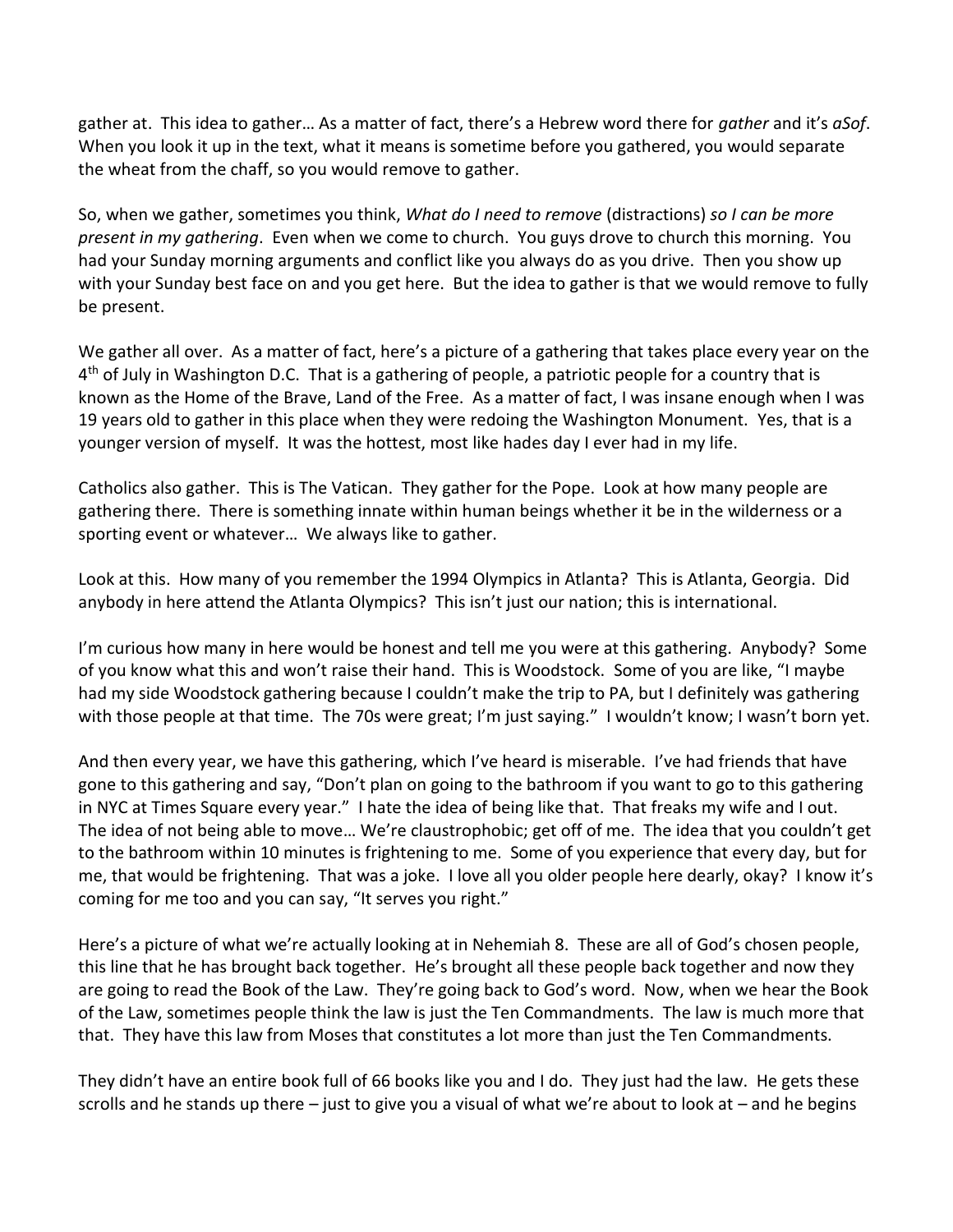gather at. This idea to gather… As a matter of fact, there's a Hebrew word there for *gather* and it's *aSof*. When you look it up in the text, what it means is sometime before you gathered, you would separate the wheat from the chaff, so you would remove to gather.

So, when we gather, sometimes you think, *What do I need to remove* (distractions) *so I can be more present in my gathering*. Even when we come to church. You guys drove to church this morning. You had your Sunday morning arguments and conflict like you always do as you drive. Then you show up with your Sunday best face on and you get here. But the idea to gather is that we would remove to fully be present.

We gather all over. As a matter of fact, here's a picture of a gathering that takes place every year on the 4<sup>th</sup> of July in Washington D.C. That is a gathering of people, a patriotic people for a country that is known as the Home of the Brave, Land of the Free. As a matter of fact, I was insane enough when I was 19 years old to gather in this place when they were redoing the Washington Monument. Yes, that is a younger version of myself. It was the hottest, most like hades day I ever had in my life.

Catholics also gather. This is The Vatican. They gather for the Pope. Look at how many people are gathering there. There is something innate within human beings whether it be in the wilderness or a sporting event or whatever… We always like to gather.

Look at this. How many of you remember the 1994 Olympics in Atlanta? This is Atlanta, Georgia. Did anybody in here attend the Atlanta Olympics? This isn't just our nation; this is international.

I'm curious how many in here would be honest and tell me you were at this gathering. Anybody? Some of you know what this and won't raise their hand. This is Woodstock. Some of you are like, "I maybe had my side Woodstock gathering because I couldn't make the trip to PA, but I definitely was gathering with those people at that time. The 70s were great; I'm just saying." I wouldn't know; I wasn't born yet.

And then every year, we have this gathering, which I've heard is miserable. I've had friends that have gone to this gathering and say, "Don't plan on going to the bathroom if you want to go to this gathering in NYC at Times Square every year." I hate the idea of being like that. That freaks my wife and I out. The idea of not being able to move… We're claustrophobic; get off of me. The idea that you couldn't get to the bathroom within 10 minutes is frightening to me. Some of you experience that every day, but for me, that would be frightening. That was a joke. I love all you older people here dearly, okay? I know it's coming for me too and you can say, "It serves you right."

Here's a picture of what we're actually looking at in Nehemiah 8. These are all of God's chosen people, this line that he has brought back together. He's brought all these people back together and now they are going to read the Book of the Law. They're going back to God's word. Now, when we hear the Book of the Law, sometimes people think the law is just the Ten Commandments. The law is much more that that. They have this law from Moses that constitutes a lot more than just the Ten Commandments.

They didn't have an entire book full of 66 books like you and I do. They just had the law. He gets these scrolls and he stands up there – just to give you a visual of what we're about to look at – and he begins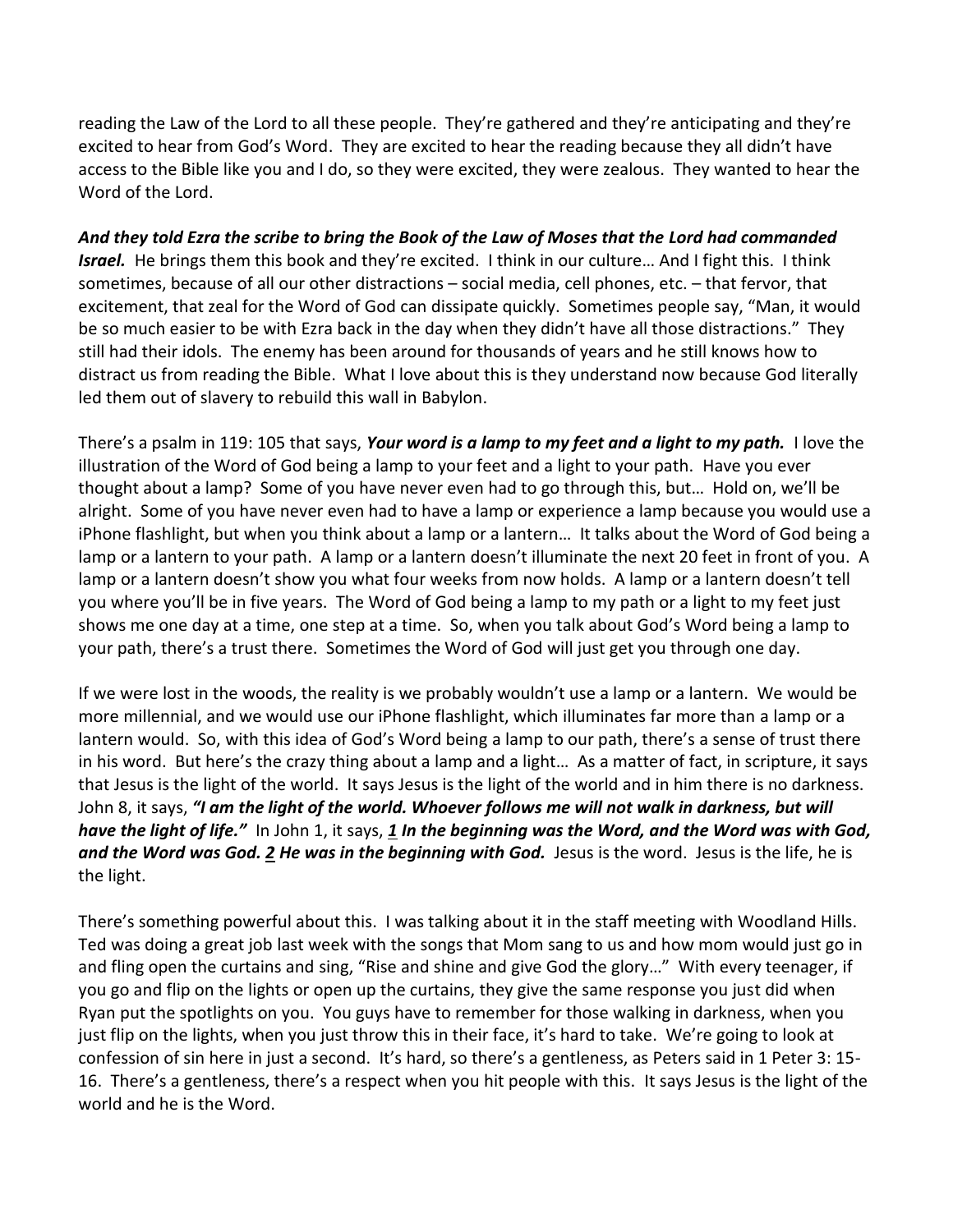reading the Law of the Lord to all these people. They're gathered and they're anticipating and they're excited to hear from God's Word. They are excited to hear the reading because they all didn't have access to the Bible like you and I do, so they were excited, they were zealous. They wanted to hear the Word of the Lord.

*And they told Ezra the scribe to bring the Book of the Law of Moses that the Lord had commanded Israel.* He brings them this book and they're excited. I think in our culture… And I fight this. I think sometimes, because of all our other distractions – social media, cell phones, etc. – that fervor, that excitement, that zeal for the Word of God can dissipate quickly. Sometimes people say, "Man, it would be so much easier to be with Ezra back in the day when they didn't have all those distractions." They still had their idols. The enemy has been around for thousands of years and he still knows how to distract us from reading the Bible. What I love about this is they understand now because God literally led them out of slavery to rebuild this wall in Babylon.

There's a psalm in 119: 105 that says, *Your word is a lamp to my feet and a light to my path.* I love the illustration of the Word of God being a lamp to your feet and a light to your path. Have you ever thought about a lamp? Some of you have never even had to go through this, but… Hold on, we'll be alright. Some of you have never even had to have a lamp or experience a lamp because you would use a iPhone flashlight, but when you think about a lamp or a lantern… It talks about the Word of God being a lamp or a lantern to your path. A lamp or a lantern doesn't illuminate the next 20 feet in front of you. A lamp or a lantern doesn't show you what four weeks from now holds. A lamp or a lantern doesn't tell you where you'll be in five years. The Word of God being a lamp to my path or a light to my feet just shows me one day at a time, one step at a time. So, when you talk about God's Word being a lamp to your path, there's a trust there. Sometimes the Word of God will just get you through one day.

If we were lost in the woods, the reality is we probably wouldn't use a lamp or a lantern. We would be more millennial, and we would use our iPhone flashlight, which illuminates far more than a lamp or a lantern would. So, with this idea of God's Word being a lamp to our path, there's a sense of trust there in his word. But here's the crazy thing about a lamp and a light… As a matter of fact, in scripture, it says that Jesus is the light of the world. It says Jesus is the light of the world and in him there is no darkness. John 8, it says, *"I am the light of the world. Whoever follows me will not walk in darkness, but will have the light of life."* In John 1, it says, *[1](https://www.studylight.org/desk/?q=joh%201:1&t1=en_esv&sr=1) In the beginning was the Word, and the Word was with God, and the Word was God. [2](https://www.studylight.org/desk/?q=joh%201:2&t1=en_esv&sr=1) He was in the beginning with God.* Jesus is the word. Jesus is the life, he is the light.

There's something powerful about this. I was talking about it in the staff meeting with Woodland Hills. Ted was doing a great job last week with the songs that Mom sang to us and how mom would just go in and fling open the curtains and sing, "Rise and shine and give God the glory…" With every teenager, if you go and flip on the lights or open up the curtains, they give the same response you just did when Ryan put the spotlights on you. You guys have to remember for those walking in darkness, when you just flip on the lights, when you just throw this in their face, it's hard to take. We're going to look at confession of sin here in just a second. It's hard, so there's a gentleness, as Peters said in 1 Peter 3: 15- 16. There's a gentleness, there's a respect when you hit people with this. It says Jesus is the light of the world and he is the Word.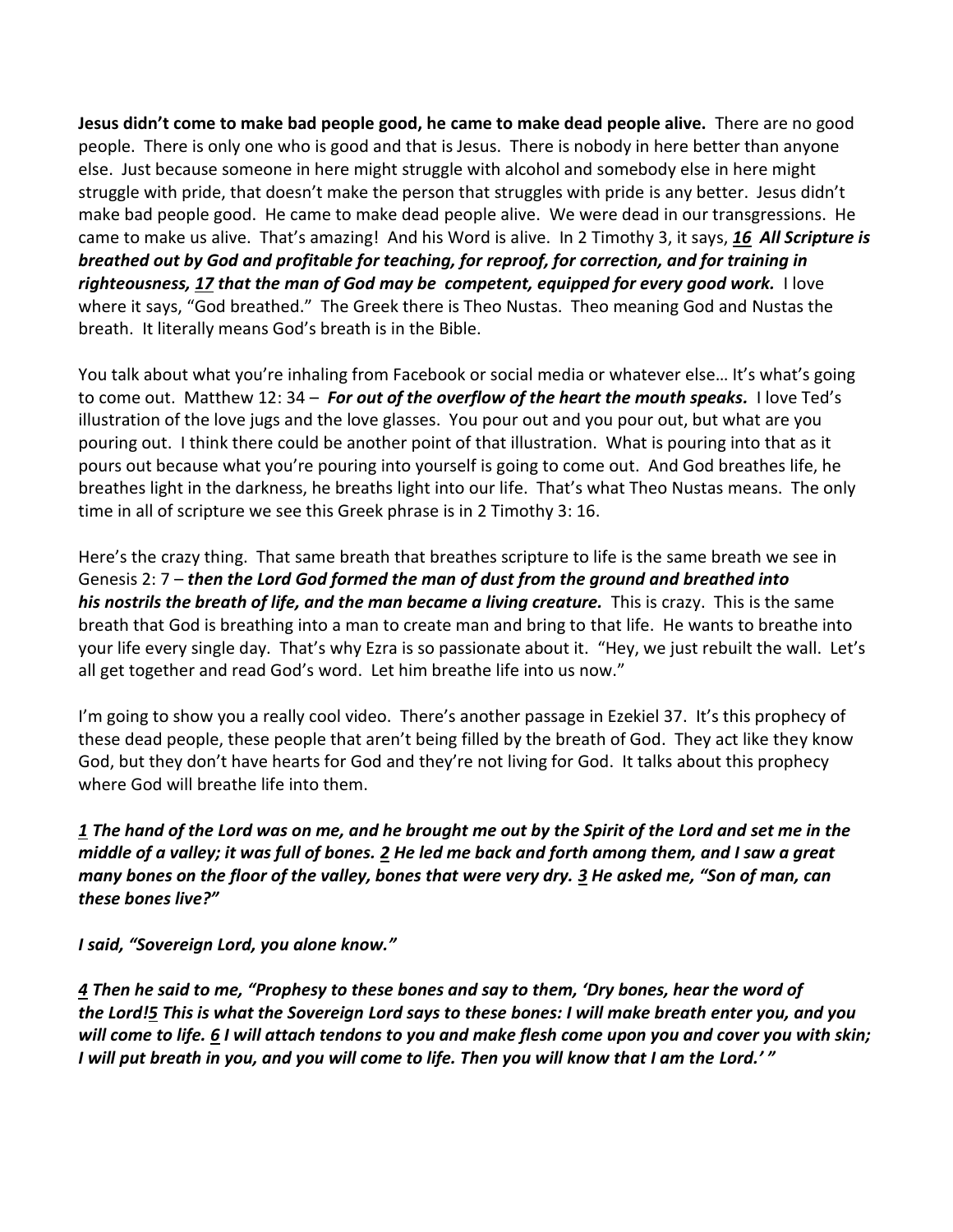**Jesus didn't come to make bad people good, he came to make dead people alive.** There are no good people. There is only one who is good and that is Jesus. There is nobody in here better than anyone else. Just because someone in here might struggle with alcohol and somebody else in here might struggle with pride, that doesn't make the person that struggles with pride is any better. Jesus didn't make bad people good. He came to make dead people alive. We were dead in our transgressions. He came to make us alive. That's amazing! And his Word is alive. In 2 Timothy 3, it says, *[16](https://www.studylight.org/desk/?q=2ti%203:16&t1=en_esv&sr=1) All Scripture is breathed out by God and profitable for teaching, for reproof, for correction, and for training in righteousness, [17](https://www.studylight.org/desk/?q=2ti%203:17&t1=en_esv&sr=1) that the man of God may be competent, equipped for every good work.* I love where it says, "God breathed." The Greek there is Theo Nustas. Theo meaning God and Nustas the breath. It literally means God's breath is in the Bible.

You talk about what you're inhaling from Facebook or social media or whatever else… It's what's going to come out. Matthew 12: 34 – *For out of the overflow of the heart the mouth speaks.* I love Ted's illustration of the love jugs and the love glasses. You pour out and you pour out, but what are you pouring out. I think there could be another point of that illustration. What is pouring into that as it pours out because what you're pouring into yourself is going to come out. And God breathes life, he breathes light in the darkness, he breaths light into our life. That's what Theo Nustas means. The only time in all of scripture we see this Greek phrase is in 2 Timothy 3: 16.

Here's the crazy thing. That same breath that breathes scripture to life is the same breath we see in Genesis 2: 7 – *then the Lord God formed the man of dust from the ground and breathed into his nostrils the breath of life, and the man became a living creature.* This is crazy. This is the same breath that God is breathing into a man to create man and bring to that life. He wants to breathe into your life every single day. That's why Ezra is so passionate about it. "Hey, we just rebuilt the wall. Let's all get together and read God's word. Let him breathe life into us now."

I'm going to show you a really cool video. There's another passage in Ezekiel 37. It's this prophecy of these dead people, these people that aren't being filled by the breath of God. They act like they know God, but they don't have hearts for God and they're not living for God. It talks about this prophecy where God will breathe life into them.

*[1](https://www.studylight.org/desk/?q=eze%2037:1&t1=en_niv&sr=1) The hand of the Lord was on me, and he brought me out by the Spirit of the Lord and set me in the middle of a valley; it was full of bones. [2](https://www.studylight.org/desk/?q=eze%2037:2&t1=en_niv&sr=1) He led me back and forth among them, and I saw a great many bones on the floor of the valley, bones that were very dry. [3](https://www.studylight.org/desk/?q=eze%2037:3&t1=en_niv&sr=1) He asked me, "Son of man, can these bones live?"*

*I said, "Sovereign Lord, you alone know."*

*[4](https://www.studylight.org/desk/?q=eze%2037:4&t1=en_niv&sr=1) Then he said to me, "Prophesy to these bones and say to them, 'Dry bones, hear the word of the Lord[!5](https://www.studylight.org/desk/?q=eze%2037:5&t1=en_niv&sr=1) This is what the Sovereign Lord says to these bones: I will make breath enter you, and you will come to life. [6](https://www.studylight.org/desk/?q=eze%2037:6&t1=en_niv&sr=1) I will attach tendons to you and make flesh come upon you and cover you with skin; I* will put breath in you, and you will come to life. Then you will know that I am the Lord.<sup>*'*</sup>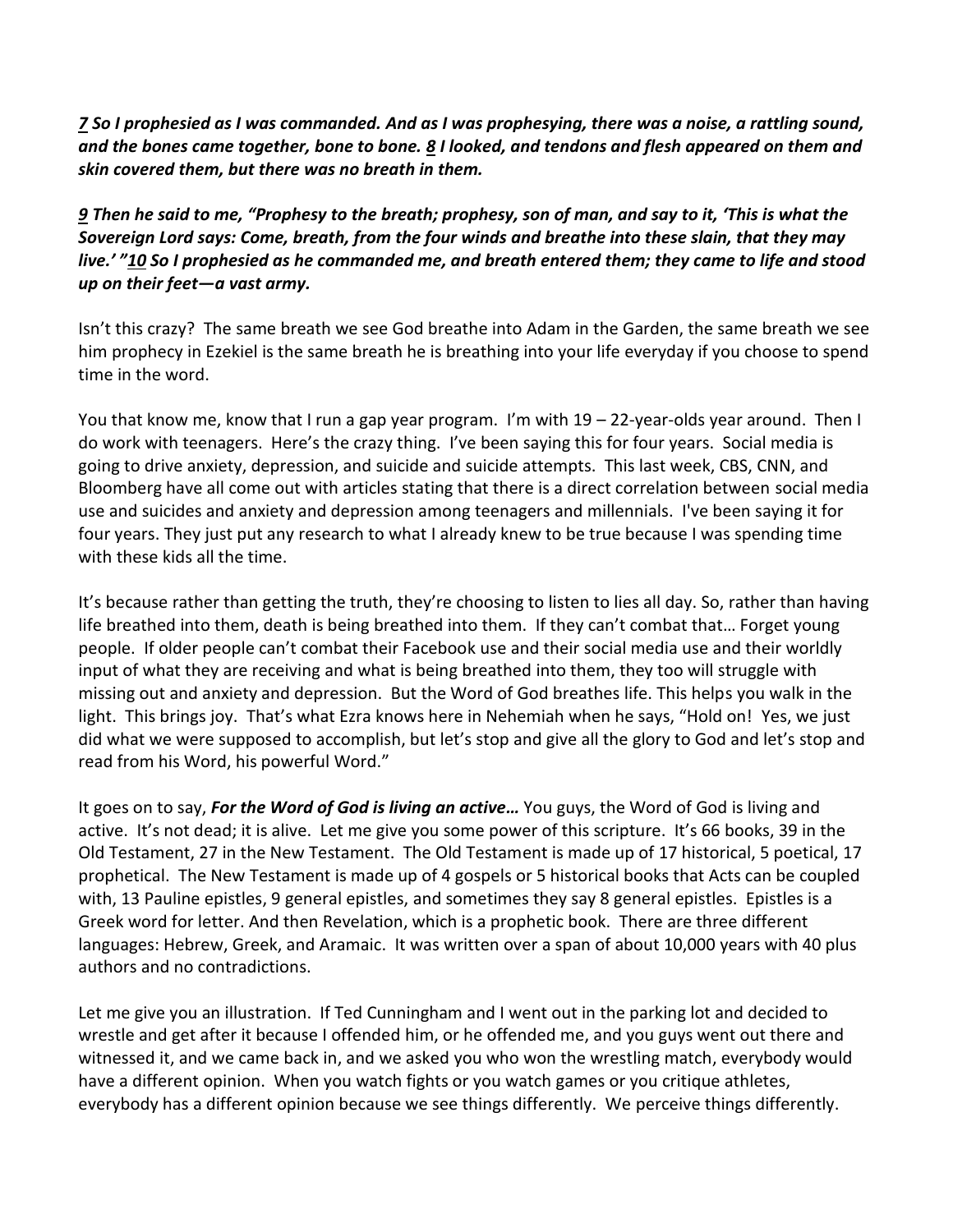*[7](https://www.studylight.org/desk/?q=eze%2037:7&t1=en_niv&sr=1) So I prophesied as I was commanded. And as I was prophesying, there was a noise, a rattling sound, and the bones came together, bone to bone. [8](https://www.studylight.org/desk/?q=eze%2037:8&t1=en_niv&sr=1) I looked, and tendons and flesh appeared on them and skin covered them, but there was no breath in them.* 

*[9](https://www.studylight.org/desk/?q=eze%2037:9&t1=en_niv&sr=1) Then he said to me, "Prophesy to the breath; prophesy, son of man, and say to it, 'This is what the Sovereign Lord says: Come, breath, from the four winds and breathe into these slain, that they may live.' "[10](https://www.studylight.org/desk/?q=eze%2037:10&t1=en_niv&sr=1) So I prophesied as he commanded me, and breath entered them; they came to life and stood up on their feet—a vast army.* 

Isn't this crazy? The same breath we see God breathe into Adam in the Garden, the same breath we see him prophecy in Ezekiel is the same breath he is breathing into your life everyday if you choose to spend time in the word.

You that know me, know that I run a gap year program. I'm with 19 – 22-year-olds year around. Then I do work with teenagers. Here's the crazy thing. I've been saying this for four years. Social media is going to drive anxiety, depression, and suicide and suicide attempts. This last week, CBS, CNN, and Bloomberg have all come out with articles stating that there is a direct correlation between social media use and suicides and anxiety and depression among teenagers and millennials. I've been saying it for four years. They just put any research to what I already knew to be true because I was spending time with these kids all the time.

It's because rather than getting the truth, they're choosing to listen to lies all day. So, rather than having life breathed into them, death is being breathed into them. If they can't combat that… Forget young people. If older people can't combat their Facebook use and their social media use and their worldly input of what they are receiving and what is being breathed into them, they too will struggle with missing out and anxiety and depression. But the Word of God breathes life. This helps you walk in the light. This brings joy. That's what Ezra knows here in Nehemiah when he says, "Hold on! Yes, we just did what we were supposed to accomplish, but let's stop and give all the glory to God and let's stop and read from his Word, his powerful Word."

It goes on to say, *For the Word of God is living an active…* You guys, the Word of God is living and active. It's not dead; it is alive. Let me give you some power of this scripture. It's 66 books, 39 in the Old Testament, 27 in the New Testament. The Old Testament is made up of 17 historical, 5 poetical, 17 prophetical. The New Testament is made up of 4 gospels or 5 historical books that Acts can be coupled with, 13 Pauline epistles, 9 general epistles, and sometimes they say 8 general epistles. Epistles is a Greek word for letter. And then Revelation, which is a prophetic book. There are three different languages: Hebrew, Greek, and Aramaic. It was written over a span of about 10,000 years with 40 plus authors and no contradictions.

Let me give you an illustration. If Ted Cunningham and I went out in the parking lot and decided to wrestle and get after it because I offended him, or he offended me, and you guys went out there and witnessed it, and we came back in, and we asked you who won the wrestling match, everybody would have a different opinion. When you watch fights or you watch games or you critique athletes, everybody has a different opinion because we see things differently. We perceive things differently.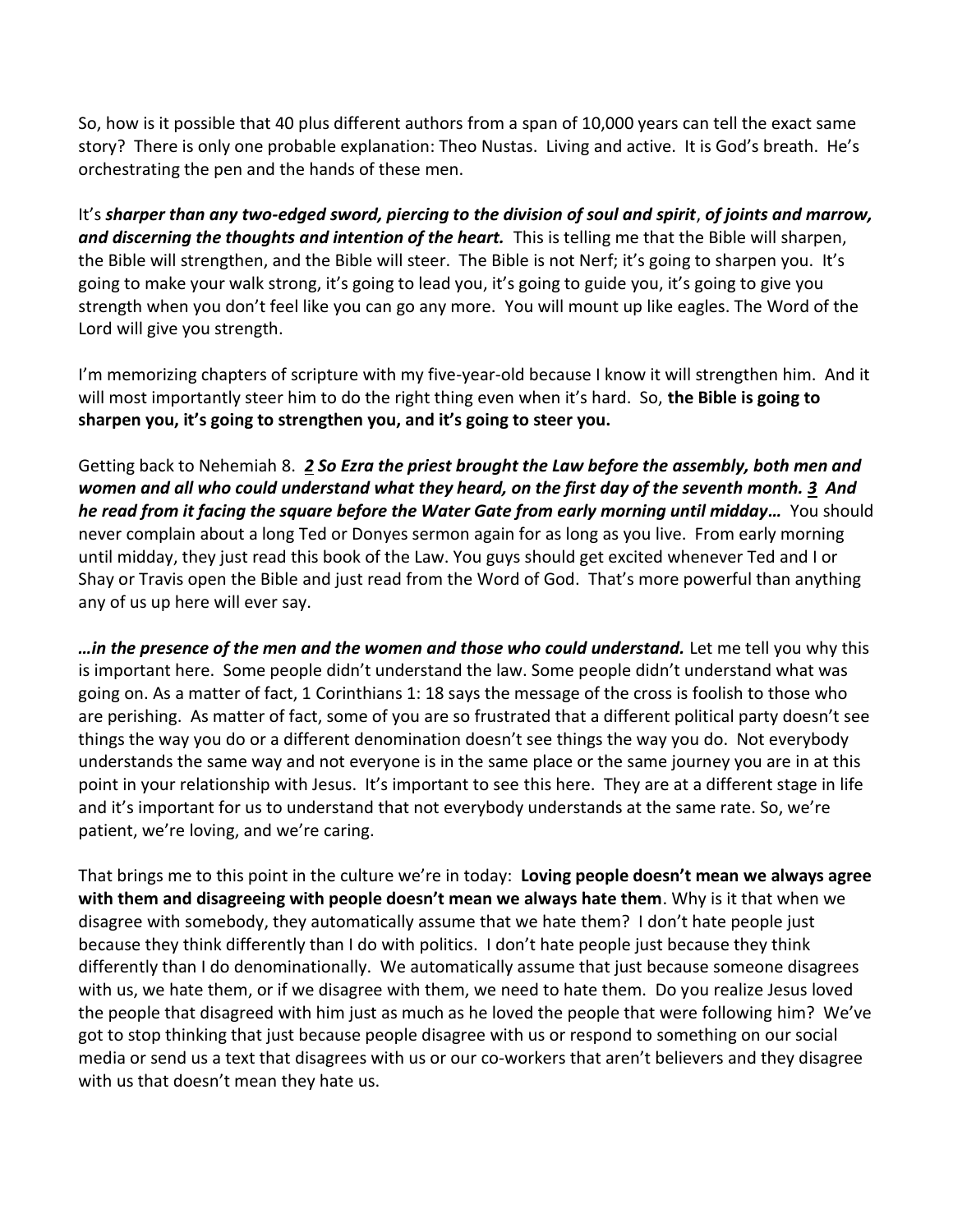So, how is it possible that 40 plus different authors from a span of 10,000 years can tell the exact same story? There is only one probable explanation: Theo Nustas. Living and active. It is God's breath. He's orchestrating the pen and the hands of these men.

It's *sharper than any two-edged sword, piercing to the division of soul and spirit*, *of joints and marrow, and discerning the thoughts and intention of the heart.* This is telling me that the Bible will sharpen, the Bible will strengthen, and the Bible will steer. The Bible is not Nerf; it's going to sharpen you. It's going to make your walk strong, it's going to lead you, it's going to guide you, it's going to give you strength when you don't feel like you can go any more. You will mount up like eagles. The Word of the Lord will give you strength.

I'm memorizing chapters of scripture with my five-year-old because I know it will strengthen him. And it will most importantly steer him to do the right thing even when it's hard. So, **the Bible is going to sharpen you, it's going to strengthen you, and it's going to steer you.**

Getting back to Nehemiah 8. *[2](https://www.studylight.org/desk/?q=ne%208:2&t1=en_esv&sr=1) So Ezra the priest brought the Law before the assembly, both men and women and all who could understand what they heard, on the first day of the seventh month. [3](https://www.studylight.org/desk/?q=ne%208:3&t1=en_esv&sr=1) And he read from it facing the square before the Water Gate from early morning until midday…* You should never complain about a long Ted or Donyes sermon again for as long as you live. From early morning until midday, they just read this book of the Law. You guys should get excited whenever Ted and I or Shay or Travis open the Bible and just read from the Word of God. That's more powerful than anything any of us up here will ever say.

*…in the presence of the men and the women and those who could understand.* **Let me tell you why this** is important here. Some people didn't understand the law. Some people didn't understand what was going on. As a matter of fact, 1 Corinthians 1: 18 says the message of the cross is foolish to those who are perishing. As matter of fact, some of you are so frustrated that a different political party doesn't see things the way you do or a different denomination doesn't see things the way you do. Not everybody understands the same way and not everyone is in the same place or the same journey you are in at this point in your relationship with Jesus. It's important to see this here. They are at a different stage in life and it's important for us to understand that not everybody understands at the same rate. So, we're patient, we're loving, and we're caring.

That brings me to this point in the culture we're in today: **Loving people doesn't mean we always agree with them and disagreeing with people doesn't mean we always hate them**. Why is it that when we disagree with somebody, they automatically assume that we hate them? I don't hate people just because they think differently than I do with politics. I don't hate people just because they think differently than I do denominationally. We automatically assume that just because someone disagrees with us, we hate them, or if we disagree with them, we need to hate them. Do you realize Jesus loved the people that disagreed with him just as much as he loved the people that were following him? We've got to stop thinking that just because people disagree with us or respond to something on our social media or send us a text that disagrees with us or our co-workers that aren't believers and they disagree with us that doesn't mean they hate us.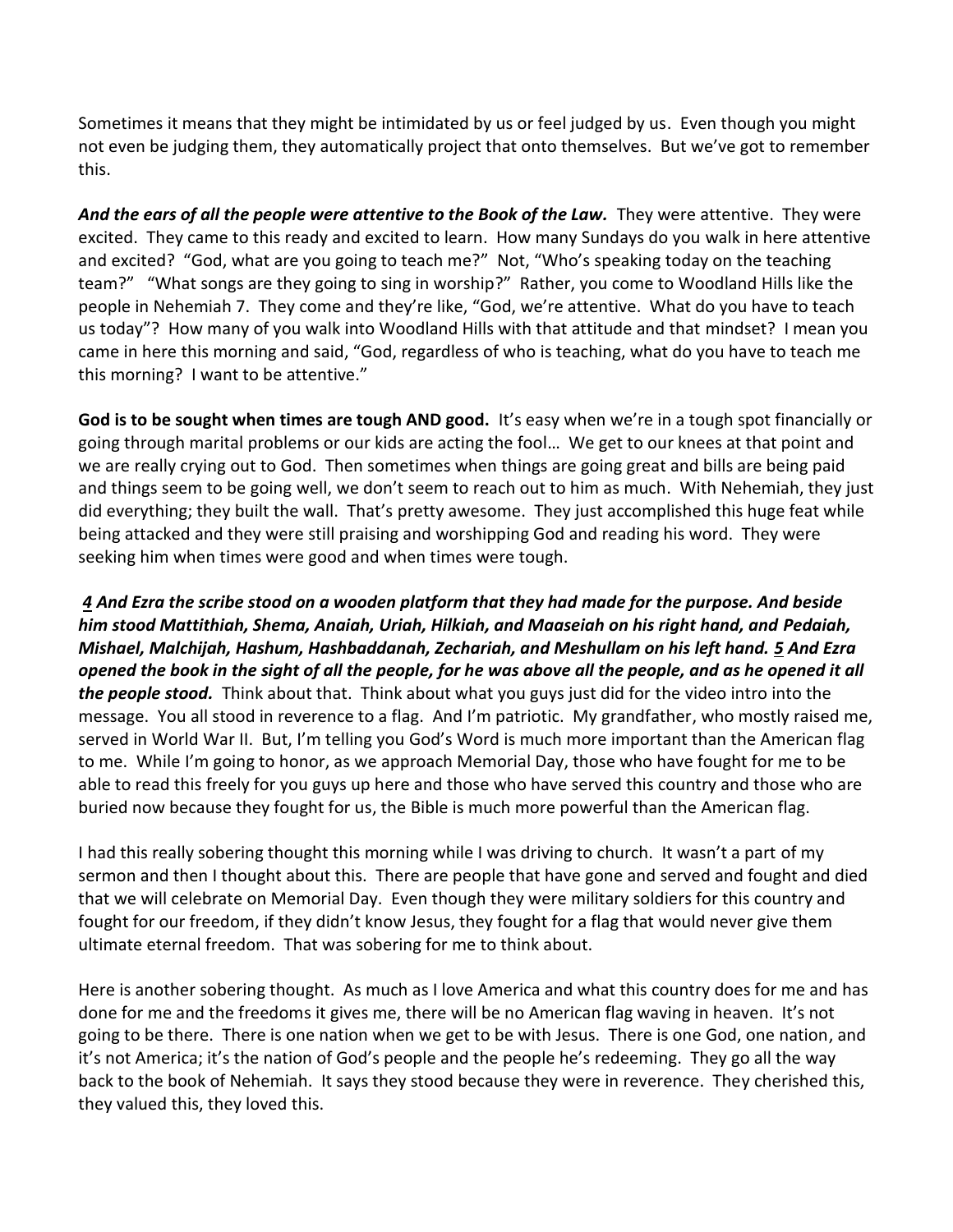Sometimes it means that they might be intimidated by us or feel judged by us. Even though you might not even be judging them, they automatically project that onto themselves. But we've got to remember this.

*And the ears of all the people were attentive to the Book of the Law.* They were attentive. They were excited. They came to this ready and excited to learn. How many Sundays do you walk in here attentive and excited? "God, what are you going to teach me?" Not, "Who's speaking today on the teaching team?" "What songs are they going to sing in worship?" Rather, you come to Woodland Hills like the people in Nehemiah 7. They come and they're like, "God, we're attentive. What do you have to teach us today"? How many of you walk into Woodland Hills with that attitude and that mindset? I mean you came in here this morning and said, "God, regardless of who is teaching, what do you have to teach me this morning? I want to be attentive."

**God is to be sought when times are tough AND good.** It's easy when we're in a tough spot financially or going through marital problems or our kids are acting the fool… We get to our knees at that point and we are really crying out to God. Then sometimes when things are going great and bills are being paid and things seem to be going well, we don't seem to reach out to him as much. With Nehemiah, they just did everything; they built the wall. That's pretty awesome. They just accomplished this huge feat while being attacked and they were still praising and worshipping God and reading his word. They were seeking him when times were good and when times were tough.

 *[4](https://www.studylight.org/desk/?q=ne%208:4&t1=en_esv&sr=1) And Ezra the scribe stood on a wooden platform that they had made for the purpose. And beside him stood Mattithiah, Shema, Anaiah, Uriah, Hilkiah, and Maaseiah on his right hand, and Pedaiah, Mishael, Malchijah, Hashum, Hashbaddanah, Zechariah, and Meshullam on his left hand. [5](https://www.studylight.org/desk/?q=ne%208:5&t1=en_esv&sr=1) And Ezra opened the book in the sight of all the people, for he was above all the people, and as he opened it all the people stood.* Think about that. Think about what you guys just did for the video intro into the message. You all stood in reverence to a flag. And I'm patriotic. My grandfather, who mostly raised me, served in World War II. But, I'm telling you God's Word is much more important than the American flag to me. While I'm going to honor, as we approach Memorial Day, those who have fought for me to be able to read this freely for you guys up here and those who have served this country and those who are buried now because they fought for us, the Bible is much more powerful than the American flag.

I had this really sobering thought this morning while I was driving to church. It wasn't a part of my sermon and then I thought about this. There are people that have gone and served and fought and died that we will celebrate on Memorial Day. Even though they were military soldiers for this country and fought for our freedom, if they didn't know Jesus, they fought for a flag that would never give them ultimate eternal freedom. That was sobering for me to think about.

Here is another sobering thought. As much as I love America and what this country does for me and has done for me and the freedoms it gives me, there will be no American flag waving in heaven. It's not going to be there. There is one nation when we get to be with Jesus. There is one God, one nation, and it's not America; it's the nation of God's people and the people he's redeeming. They go all the way back to the book of Nehemiah. It says they stood because they were in reverence. They cherished this, they valued this, they loved this.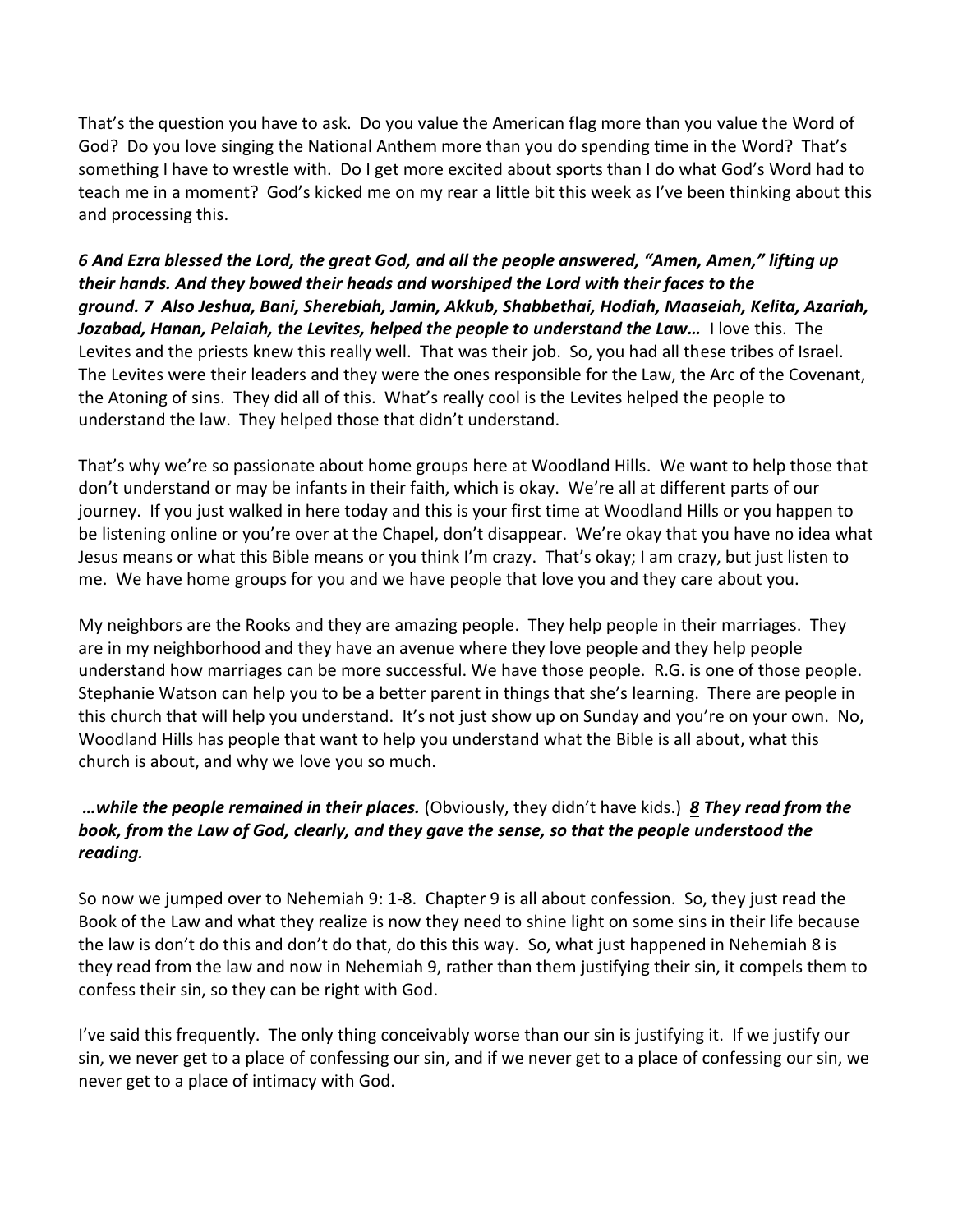That's the question you have to ask. Do you value the American flag more than you value the Word of God? Do you love singing the National Anthem more than you do spending time in the Word? That's something I have to wrestle with. Do I get more excited about sports than I do what God's Word had to teach me in a moment? God's kicked me on my rear a little bit this week as I've been thinking about this and processing this.

*[6](https://www.studylight.org/desk/?q=ne%208:6&t1=en_esv&sr=1) And Ezra blessed the Lord, the great God, and all the people answered, "Amen, Amen," lifting up their hands. And they bowed their heads and worshiped the Lord with their faces to the ground. [7](https://www.studylight.org/desk/?q=ne%208:7&t1=en_esv&sr=1) Also Jeshua, Bani, Sherebiah, Jamin, Akkub, Shabbethai, Hodiah, Maaseiah, Kelita, Azariah, Jozabad, Hanan, Pelaiah, the Levites, helped the people to understand the Law…* I love this. The Levites and the priests knew this really well. That was their job. So, you had all these tribes of Israel. The Levites were their leaders and they were the ones responsible for the Law, the Arc of the Covenant, the Atoning of sins. They did all of this. What's really cool is the Levites helped the people to understand the law. They helped those that didn't understand.

That's why we're so passionate about home groups here at Woodland Hills. We want to help those that don't understand or may be infants in their faith, which is okay. We're all at different parts of our journey. If you just walked in here today and this is your first time at Woodland Hills or you happen to be listening online or you're over at the Chapel, don't disappear. We're okay that you have no idea what Jesus means or what this Bible means or you think I'm crazy. That's okay; I am crazy, but just listen to me. We have home groups for you and we have people that love you and they care about you.

My neighbors are the Rooks and they are amazing people. They help people in their marriages. They are in my neighborhood and they have an avenue where they love people and they help people understand how marriages can be more successful. We have those people. R.G. is one of those people. Stephanie Watson can help you to be a better parent in things that she's learning. There are people in this church that will help you understand. It's not just show up on Sunday and you're on your own. No, Woodland Hills has people that want to help you understand what the Bible is all about, what this church is about, and why we love you so much.

## *…while the people remained in their places.* (Obviously, they didn't have kids.) *[8](https://www.studylight.org/desk/?q=ne%208:8&t1=en_esv&sr=1) They read from the book, from the Law of God, clearly, and they gave the sense, so that the people understood the readi***ng.**

So now we jumped over to Nehemiah 9: 1-8. Chapter 9 is all about confession. So, they just read the Book of the Law and what they realize is now they need to shine light on some sins in their life because the law is don't do this and don't do that, do this this way. So, what just happened in Nehemiah 8 is they read from the law and now in Nehemiah 9, rather than them justifying their sin, it compels them to confess their sin, so they can be right with God.

I've said this frequently. The only thing conceivably worse than our sin is justifying it. If we justify our sin, we never get to a place of confessing our sin, and if we never get to a place of confessing our sin, we never get to a place of intimacy with God.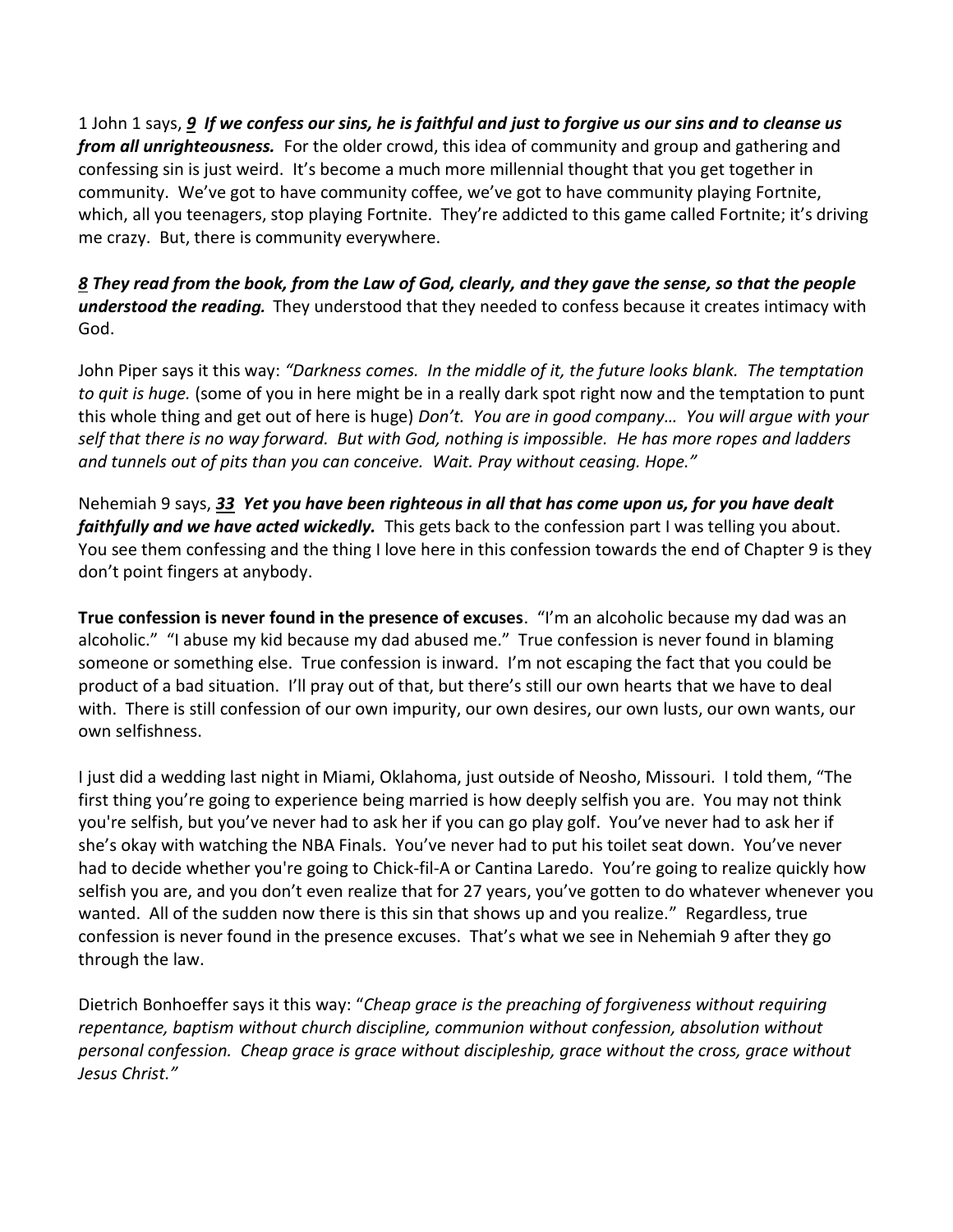1 John 1 says, *[9](https://www.studylight.org/desk/?q=1jo%201:9&t1=en_esv&sr=1) If we confess our sins, he is faithful and just to forgive us our sins and to cleanse us from all unrighteousness.* For the older crowd, this idea of community and group and gathering and confessing sin is just weird. It's become a much more millennial thought that you get together in community. We've got to have community coffee, we've got to have community playing Fortnite, which, all you teenagers, stop playing Fortnite. They're addicted to this game called Fortnite; it's driving me crazy. But, there is community everywhere.

*[8](https://www.studylight.org/desk/?q=ne%208:8&t1=en_esv&sr=1) They read from the book, from the Law of God, clearly, and they gave the sense, so that the people understood the readi***ng.** They understood that they needed to confess because it creates intimacy with God.

John Piper says it this way: *"Darkness comes. In the middle of it, the future looks blank. The temptation to quit is huge.* (some of you in here might be in a really dark spot right now and the temptation to punt this whole thing and get out of here is huge) *Don't. You are in good company… You will argue with your self that there is no way forward. But with God, nothing is impossible. He has more ropes and ladders and tunnels out of pits than you can conceive. Wait. Pray without ceasing. Hope."*

Nehemiah 9 says, *[33](https://www.studylight.org/desk/?q=ne%209:33&t1=en_esv&sr=1) Yet you have been righteous in all that has come upon us, for you have dealt faithfully and we have acted wickedly.* This gets back to the confession part I was telling you about. You see them confessing and the thing I love here in this confession towards the end of Chapter 9 is they don't point fingers at anybody.

**True confession is never found in the presence of excuses**. "I'm an alcoholic because my dad was an alcoholic." "I abuse my kid because my dad abused me." True confession is never found in blaming someone or something else. True confession is inward. I'm not escaping the fact that you could be product of a bad situation. I'll pray out of that, but there's still our own hearts that we have to deal with. There is still confession of our own impurity, our own desires, our own lusts, our own wants, our own selfishness.

I just did a wedding last night in Miami, Oklahoma, just outside of Neosho, Missouri. I told them, "The first thing you're going to experience being married is how deeply selfish you are. You may not think you're selfish, but you've never had to ask her if you can go play golf. You've never had to ask her if she's okay with watching the NBA Finals. You've never had to put his toilet seat down. You've never had to decide whether you're going to Chick-fil-A or Cantina Laredo. You're going to realize quickly how selfish you are, and you don't even realize that for 27 years, you've gotten to do whatever whenever you wanted. All of the sudden now there is this sin that shows up and you realize." Regardless, true confession is never found in the presence excuses. That's what we see in Nehemiah 9 after they go through the law.

Dietrich Bonhoeffer says it this way: "*Cheap grace is the preaching of forgiveness without requiring repentance, baptism without church discipline, communion without confession, absolution without personal confession. Cheap grace is grace without discipleship, grace without the cross, grace without Jesus Christ."*